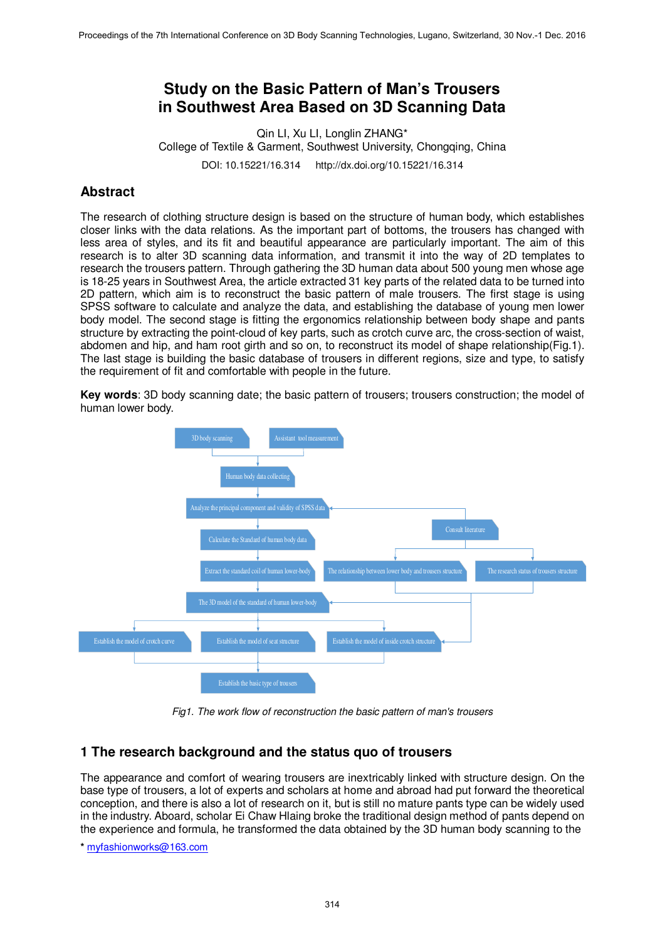# **Study on the Basic Pattern of Man's Trousers in Southwest Area Based on 3D Scanning Data**

Qin LI, Xu LI, Longlin ZHANG\* College of Textile & Garment, Southwest University, Chongqing, China DOI: 10.15221/16.314 http://dx.doi.org/10.15221/16.314

# **Abstract**

The research of clothing structure design is based on the structure of human body, which establishes closer links with the data relations. As the important part of bottoms, the trousers has changed with less area of styles, and its fit and beautiful appearance are particularly important. The aim of this research is to alter 3D scanning data information, and transmit it into the way of 2D templates to research the trousers pattern. Through gathering the 3D human data about 500 young men whose age is 18-25 years in Southwest Area, the article extracted 31 key parts of the related data to be turned into 2D pattern, which aim is to reconstruct the basic pattern of male trousers. The first stage is using SPSS software to calculate and analyze the data, and establishing the database of young men lower body model. The second stage is fitting the ergonomics relationship between body shape and pants structure by extracting the point-cloud of key parts, such as crotch curve arc, the cross-section of waist, abdomen and hip, and ham root girth and so on, to reconstruct its model of shape relationship(Fig.1). The last stage is building the basic database of trousers in different regions, size and type, to satisfy the requirement of fit and comfortable with people in the future.

**Key words**: 3D body scanning date; the basic pattern of trousers; trousers construction; the model of human lower body.



*Fig1. The work flow of reconstruction the basic pattern of man's trousers* 

## **1 The research background and the status quo of trousers**

The appearance and comfort of wearing trousers are inextricably linked with structure design. On the base type of trousers, a lot of experts and scholars at home and abroad had put forward the theoretical conception, and there is also a lot of research on it, but is still no mature pants type can be widely used in the industry. Aboard, scholar Ei Chaw Hlaing broke the traditional design method of pants depend on the experience and formula, he transformed the data obtained by the 3D human body scanning to the

**\*** myfashionworks@163.com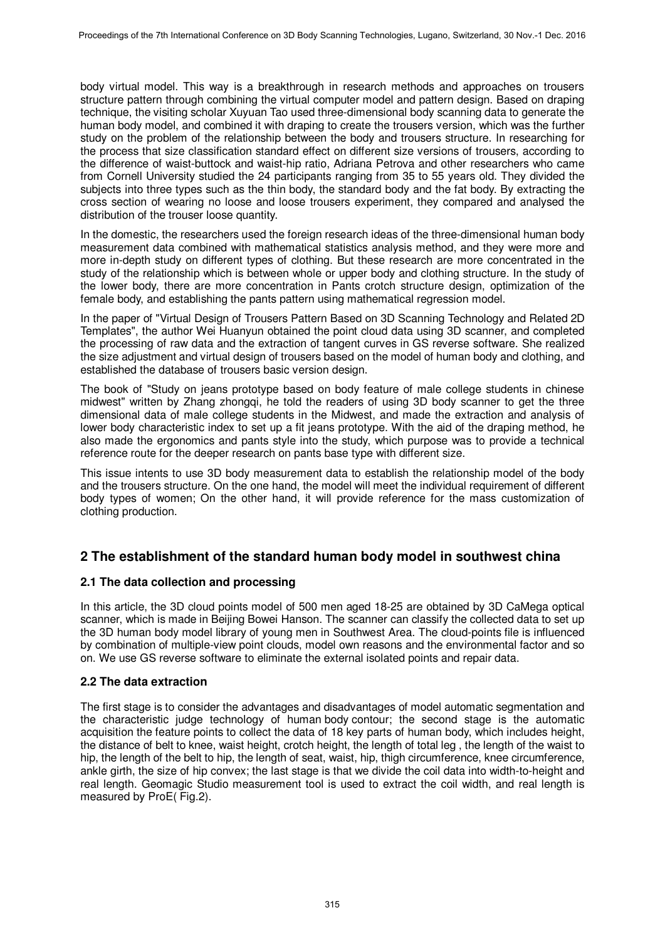body virtual model. This way is a breakthrough in research methods and approaches on trousers structure pattern through combining the virtual computer model and pattern design. Based on draping technique, the visiting scholar Xuyuan Tao used three-dimensional body scanning data to generate the human body model, and combined it with draping to create the trousers version, which was the further study on the problem of the relationship between the body and trousers structure. In researching for the process that size classification standard effect on different size versions of trousers, according to the difference of waist-buttock and waist-hip ratio, Adriana Petrova and other researchers who came from Cornell University studied the 24 participants ranging from 35 to 55 years old. They divided the subjects into three types such as the thin body, the standard body and the fat body. By extracting the cross section of wearing no loose and loose trousers experiment, they compared and analysed the distribution of the trouser loose quantity.

In the domestic, the researchers used the foreign research ideas of the three-dimensional human body measurement data combined with mathematical statistics analysis method, and they were more and more in-depth study on different types of clothing. But these research are more concentrated in the study of the relationship which is between whole or upper body and clothing structure. In the study of the lower body, there are more concentration in Pants crotch structure design, optimization of the female body, and establishing the pants pattern using mathematical regression model.

In the paper of "Virtual Design of Trousers Pattern Based on 3D Scanning Technology and Related 2D Templates", the author Wei Huanyun obtained the point cloud data using 3D scanner, and completed the processing of raw data and the extraction of tangent curves in GS reverse software. She realized the size adjustment and virtual design of trousers based on the model of human body and clothing, and established the database of trousers basic version design.

The book of "Study on jeans prototype based on body feature of male college students in chinese midwest" written by Zhang zhongqi, he told the readers of using 3D body scanner to get the three dimensional data of male college students in the Midwest, and made the extraction and analysis of lower body characteristic index to set up a fit jeans prototype. With the aid of the draping method, he also made the ergonomics and pants style into the study, which purpose was to provide a technical reference route for the deeper research on pants base type with different size.

This issue intents to use 3D body measurement data to establish the relationship model of the body and the trousers structure. On the one hand, the model will meet the individual requirement of different body types of women; On the other hand, it will provide reference for the mass customization of clothing production.

# **2 The establishment of the standard human body model in southwest china**

## **2.1 The data collection and processing**

In this article, the 3D cloud points model of 500 men aged 18-25 are obtained by 3D CaMega optical scanner, which is made in Beijing Bowei Hanson. The scanner can classify the collected data to set up the 3D human body model library of young men in Southwest Area. The cloud-points file is influenced by combination of multiple-view point clouds, model own reasons and the environmental factor and so on. We use GS reverse software to eliminate the external isolated points and repair data.

## **2.2 The data extraction**

The first stage is to consider the advantages and disadvantages of model automatic segmentation and the characteristic judge technology of human body contour; the second stage is the automatic acquisition the feature points to collect the data of 18 key parts of human body, which includes height, the distance of belt to knee, waist height, crotch height, the length of total leg , the length of the waist to hip, the length of the belt to hip, the length of seat, waist, hip, thigh circumference, knee circumference, ankle girth, the size of hip convex; the last stage is that we divide the coil data into width-to-height and real length. Geomagic Studio measurement tool is used to extract the coil width, and real length is measured by ProE( Fig.2).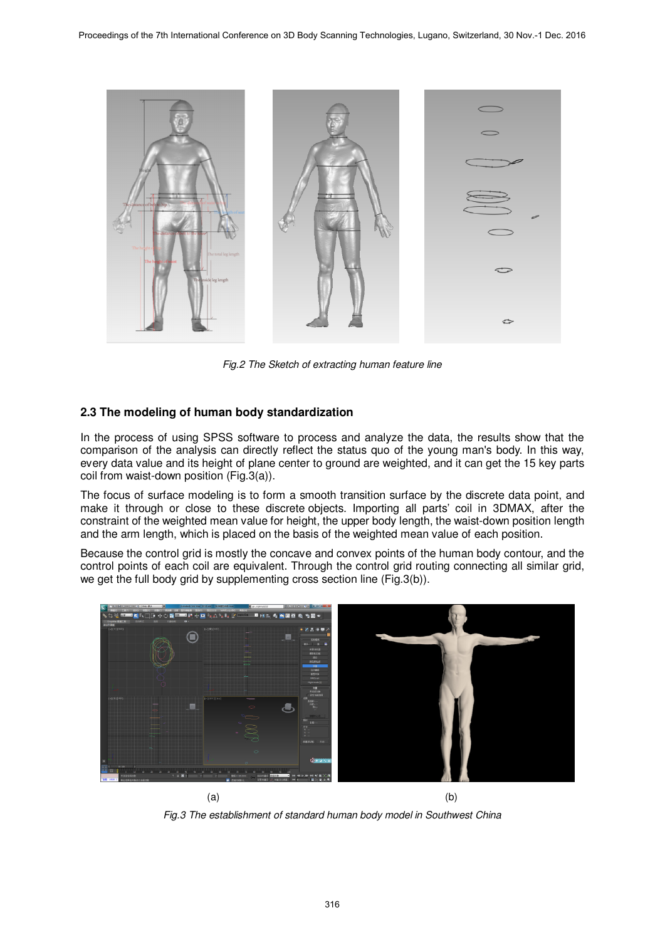

*Fig.2 The Sketch of extracting human feature line*

### **2.3 The modeling of human body standardization**

In the process of using SPSS software to process and analyze the data, the results show that the comparison of the analysis can directly reflect the status quo of the young man's body. In this way, every data value and its height of plane center to ground are weighted, and it can get the 15 key parts coil from waist-down position (Fig.3(a)).

The focus of surface modeling is to form a smooth transition surface by the discrete data point, and make it through or close to these discrete objects. Importing all parts' coil in 3DMAX, after the constraint of the weighted mean value for height, the upper body length, the waist-down position length and the arm length, which is placed on the basis of the weighted mean value of each position.

Because the control grid is mostly the concave and convex points of the human body contour, and the control points of each coil are equivalent. Through the control grid routing connecting all similar grid, we get the full body grid by supplementing cross section line (Fig.3(b)).



*Fig.3 The establishment of standard human body model in Southwest China*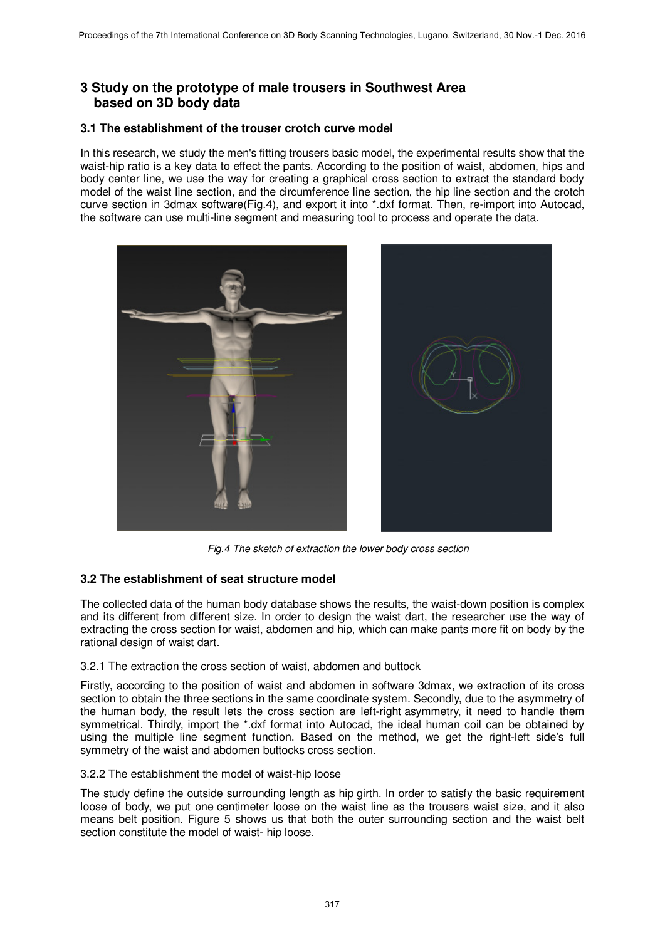# **3 Study on the prototype of male trousers in Southwest Area based on 3D body data**

### **3.1 The establishment of the trouser crotch curve model**

In this research, we study the men's fitting trousers basic model, the experimental results show that the waist-hip ratio is a key data to effect the pants. According to the position of waist, abdomen, hips and body center line, we use the way for creating a graphical cross section to extract the standard body model of the waist line section, and the circumference line section, the hip line section and the crotch curve section in 3dmax software(Fig.4), and export it into \*.dxf format. Then, re-import into Autocad, the software can use multi-line segment and measuring tool to process and operate the data.



*Fig.4 The sketch of extraction the lower body cross section* 

## **3.2 The establishment of seat structure model**

The collected data of the human body database shows the results, the waist-down position is complex and its different from different size. In order to design the waist dart, the researcher use the way of extracting the cross section for waist, abdomen and hip, which can make pants more fit on body by the rational design of waist dart.

### 3.2.1 The extraction the cross section of waist, abdomen and buttock

Firstly, according to the position of waist and abdomen in software 3dmax, we extraction of its cross section to obtain the three sections in the same coordinate system. Secondly, due to the asymmetry of the human body, the result lets the cross section are left-right asymmetry, it need to handle them symmetrical. Thirdly, import the \*.dxf format into Autocad, the ideal human coil can be obtained by using the multiple line segment function. Based on the method, we get the right-left side's full symmetry of the waist and abdomen buttocks cross section.

#### 3.2.2 The establishment the model of waist-hip loose

The study define the outside surrounding length as hip girth. In order to satisfy the basic requirement loose of body, we put one centimeter loose on the waist line as the trousers waist size, and it also means belt position. Figure 5 shows us that both the outer surrounding section and the waist belt section constitute the model of waist- hip loose.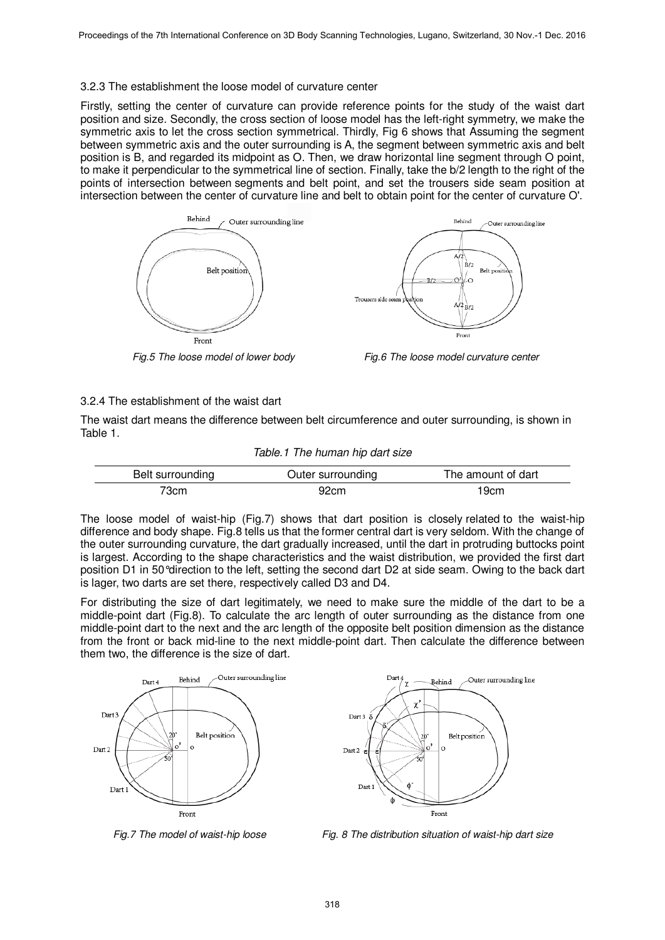#### 3.2.3 The establishment the loose model of curvature center

Firstly, setting the center of curvature can provide reference points for the study of the waist dart position and size. Secondly, the cross section of loose model has the left-right symmetry, we make the symmetric axis to let the cross section symmetrical. Thirdly, Fig 6 shows that Assuming the segment between symmetric axis and the outer surrounding is A, the segment between symmetric axis and belt position is B, and regarded its midpoint as O. Then, we draw horizontal line segment through O point, to make it perpendicular to the symmetrical line of section. Finally, take the b/2 length to the right of the points of intersection between segments and belt point, and set the trousers side seam position at intersection between the center of curvature line and belt to obtain point for the center of curvature O'.





*Fig.5 The loose model of lower body Fig.6 The loose model curvature center*

#### 3.2.4 The establishment of the waist dart

The waist dart means the difference between belt circumference and outer surrounding, is shown in Table 1.

*Table.1 The human hip dart size* 

| Belt surrounding | Outer surrounding | The amount of dart |
|------------------|-------------------|--------------------|
| 73cm             | 92cm              | 19cm               |

The loose model of waist-hip (Fig.7) shows that dart position is closely related to the waist-hip difference and body shape. Fig.8 tells us that the former central dart is very seldom. With the change of the outer surrounding curvature, the dart gradually increased, until the dart in protruding buttocks point is largest. According to the shape characteristics and the waist distribution, we provided the first dart position D1 in 50°direction to the left, setting the second dart D2 at side seam. Owing to the back dart is lager, two darts are set there, respectively called D3 and D4.

For distributing the size of dart legitimately, we need to make sure the middle of the dart to be a middle-point dart (Fig.8). To calculate the arc length of outer surrounding as the distance from one middle-point dart to the next and the arc length of the opposite belt position dimension as the distance from the front or back mid-line to the next middle-point dart. Then calculate the difference between them two, the difference is the size of dart.





*Fig.7 The model of waist-hip loose Fig. 8 The distribution situation of waist-hip dart size*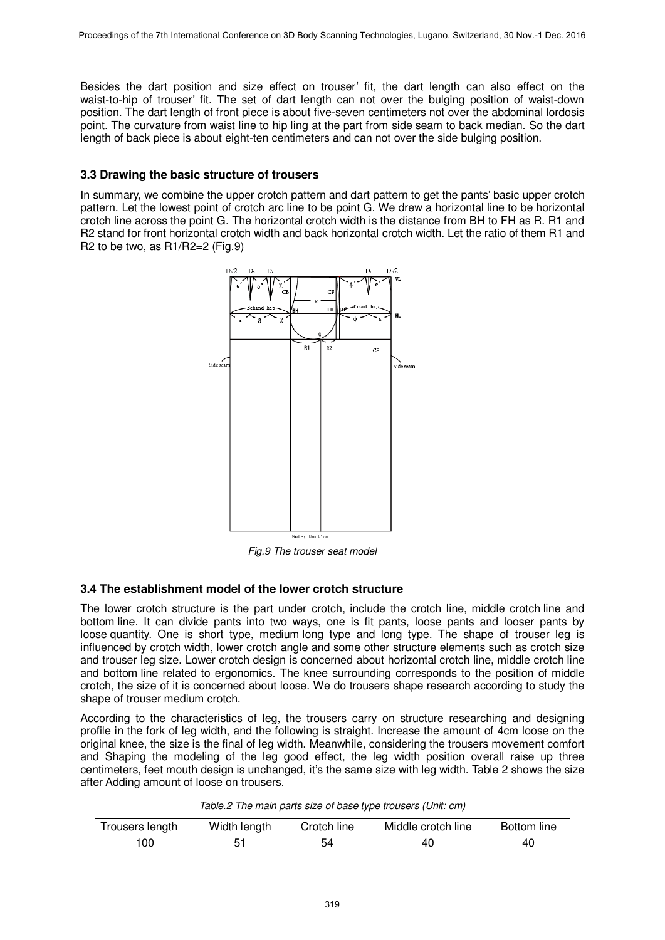Besides the dart position and size effect on trouser' fit, the dart length can also effect on the waist-to-hip of trouser' fit. The set of dart length can not over the bulging position of waist-down position. The dart length of front piece is about five-seven centimeters not over the abdominal lordosis point. The curvature from waist line to hip ling at the part from side seam to back median. So the dart length of back piece is about eight-ten centimeters and can not over the side bulging position.

### **3.3 Drawing the basic structure of trousers**

In summary, we combine the upper crotch pattern and dart pattern to get the pants' basic upper crotch pattern. Let the lowest point of crotch arc line to be point G. We drew a horizontal line to be horizontal crotch line across the point G. The horizontal crotch width is the distance from BH to FH as R. R1 and R2 stand for front horizontal crotch width and back horizontal crotch width. Let the ratio of them R1 and R2 to be two, as  $R1/R2=2$  (Fig.9)



*Fig.9 The trouser seat model*

### **3.4 The establishment model of the lower crotch structure**

The lower crotch structure is the part under crotch, include the crotch line, middle crotch line and bottom line. It can divide pants into two ways, one is fit pants, loose pants and looser pants by loose quantity. One is short type, medium long type and long type. The shape of trouser leg is influenced by crotch width, lower crotch angle and some other structure elements such as crotch size and trouser leg size. Lower crotch design is concerned about horizontal crotch line, middle crotch line and bottom line related to ergonomics. The knee surrounding corresponds to the position of middle crotch, the size of it is concerned about loose. We do trousers shape research according to study the shape of trouser medium crotch.

According to the characteristics of leg, the trousers carry on structure researching and designing profile in the fork of leg width, and the following is straight. Increase the amount of 4cm loose on the original knee, the size is the final of leg width. Meanwhile, considering the trousers movement comfort and Shaping the modeling of the leg good effect, the leg width position overall raise up three centimeters, feet mouth design is unchanged, it's the same size with leg width. Table 2 shows the size after Adding amount of loose on trousers.

| Table.2 The main parts size of base type trousers (Unit: cm) |  |  |
|--------------------------------------------------------------|--|--|
|--------------------------------------------------------------|--|--|

| Trousers length | Width length | Crotch line | Middle crotch line | Bottom line |
|-----------------|--------------|-------------|--------------------|-------------|
| 00              |              |             | 40                 | 40          |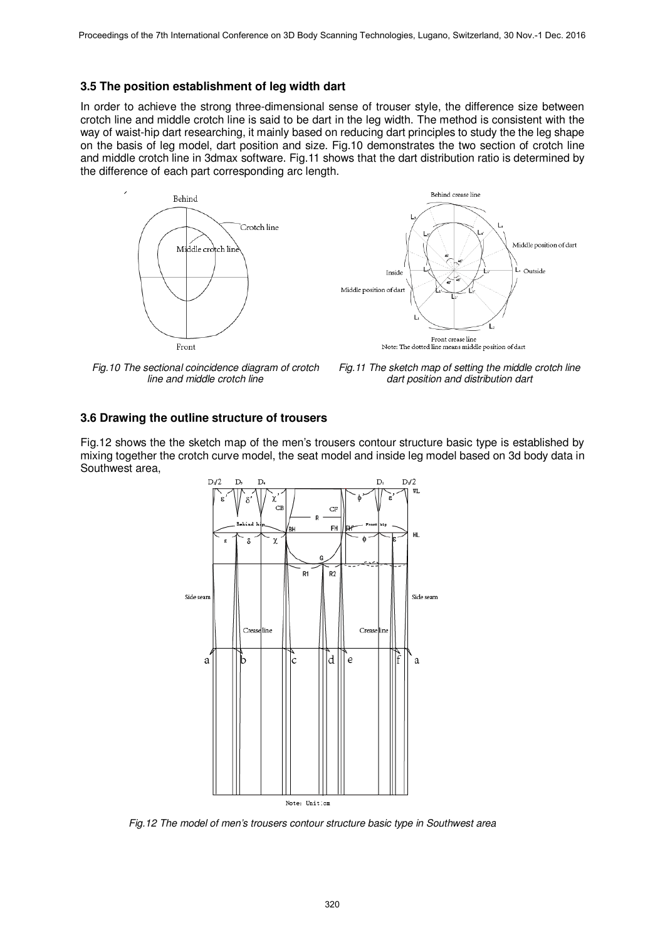#### **3.5 The position establishment of leg width dart**

In order to achieve the strong three-dimensional sense of trouser style, the difference size between crotch line and middle crotch line is said to be dart in the leg width. The method is consistent with the way of waist-hip dart researching, it mainly based on reducing dart principles to study the the leg shape on the basis of leg model, dart position and size. Fig.10 demonstrates the two section of crotch line and middle crotch line in 3dmax software. Fig.11 shows that the dart distribution ratio is determined by the difference of each part corresponding arc length.





*Fig.10 The sectional coincidence diagram of crotch line and middle crotch line* 

*Fig.11 The sketch map of setting the middle crotch line dart position and distribution dart* 

#### **3.6 Drawing the outline structure of trousers**

Fig.12 shows the the sketch map of the men's trousers contour structure basic type is established by mixing together the crotch curve model, the seat model and inside leg model based on 3d body data in Southwest area,



*Fig.12 The model of men's trousers contour structure basic type in Southwest area*